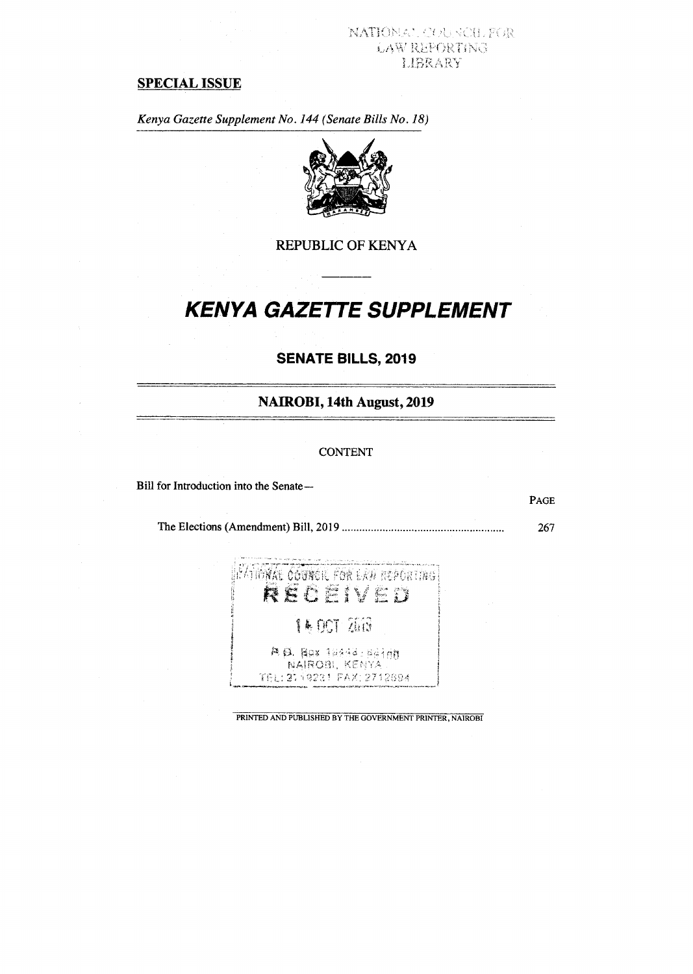NATIONAL COUNCIL FOR **LAW REPORTING** LIBRARY

## **SPECIAL ISSUE**

*Kenya Gazette Supplement No. 144 (Senate Bills No. 18)* 



## REPUBLIC OF KENYA

# **KENYA GAZETTE SUPPLEMENT**

**SENATE BILLS, 2019** 

**NAIROBI, 14th August, 2019** 

#### CONTENT

Bill for Introduction into the Senate—

The Elections (Amendment) Bill, 2019 267

PAGE



PRINTED AND PUBLISHED BY THE GOVERNMENT PRINTER, NAIROBI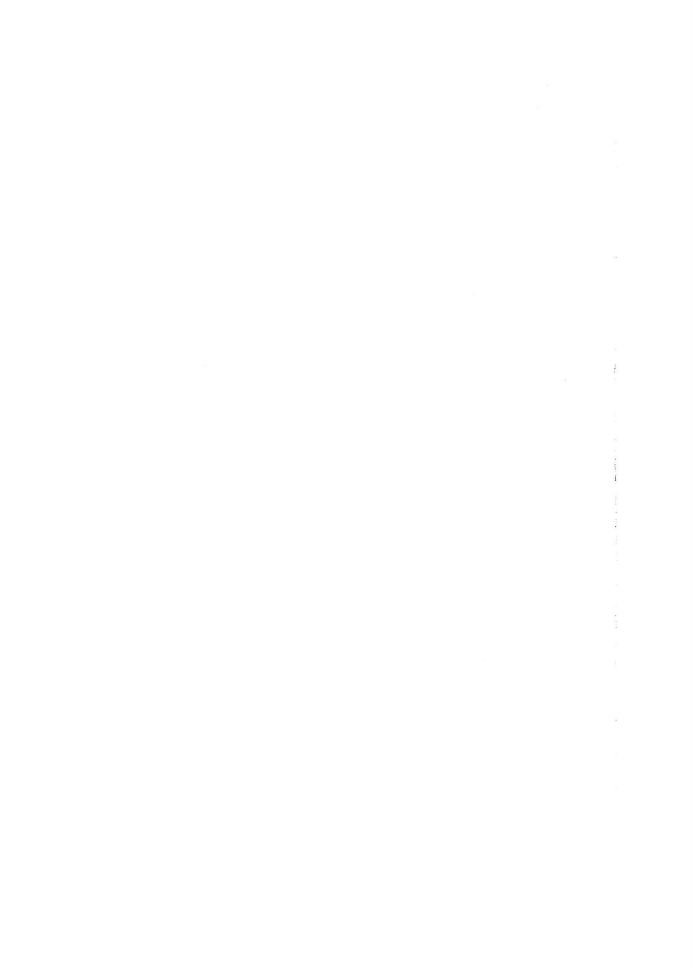$\label{eq:2.1} \frac{1}{2} \int_{\mathbb{R}^3} \frac{1}{\sqrt{2}} \, \frac{1}{\sqrt{2}} \, \frac{1}{\sqrt{2}} \, \frac{1}{\sqrt{2}} \, \frac{1}{\sqrt{2}} \, \frac{1}{\sqrt{2}} \, \frac{1}{\sqrt{2}} \, \frac{1}{\sqrt{2}} \, \frac{1}{\sqrt{2}} \, \frac{1}{\sqrt{2}} \, \frac{1}{\sqrt{2}} \, \frac{1}{\sqrt{2}} \, \frac{1}{\sqrt{2}} \, \frac{1}{\sqrt{2}} \, \frac{1}{\sqrt{2}} \, \frac{1}{\sqrt{2}} \,$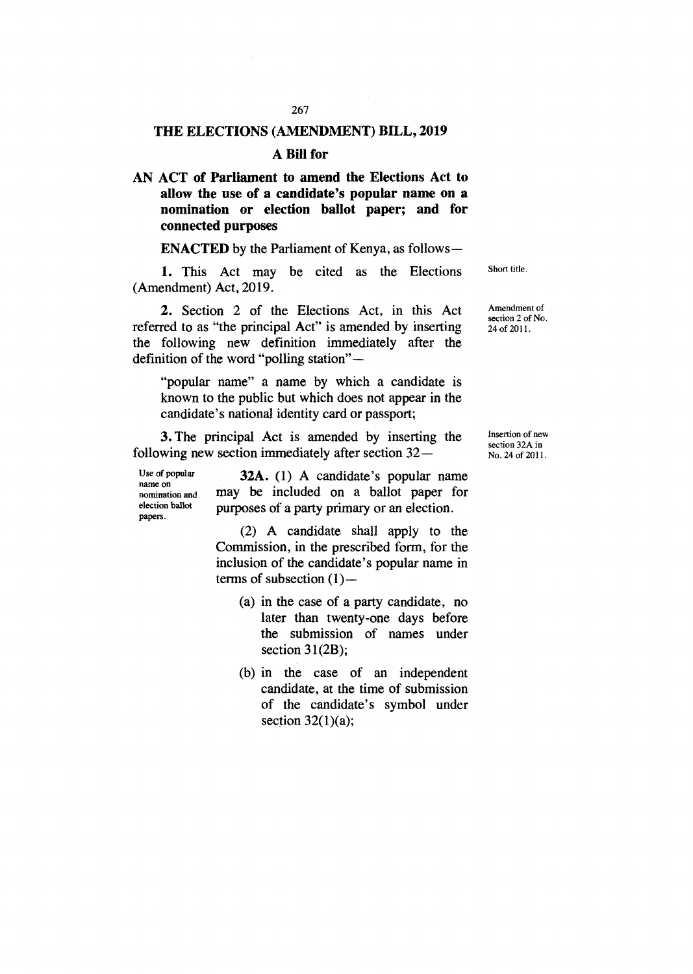## **THE ELECTIONS (AMENDMENT) BILL, 2019**

# **A Bill for**

**AN ACT of Parliament to amend the Elections Act to allow the use of a candidate's popular name on a nomination or election ballot paper; and for connected purposes** 

**ENACTED** by the Parliament of Kenya, as follows —

1. This Act may be cited as the Elections (Amendment) Act, 2019.

2. Section 2 of the Elections Act, in this Act referred to as "the principal Act" is amended by inserting the following new definition immediately after the definition of the word "polling station"—

"popular name" a name by which a candidate is known to the public but which does not appear in the candidate's national identity card or passport;

3. The principal Act is amended by inserting the following new section immediately after section 32—

Use of popular name on nomination and election ballot papers.

**32A.** (1) A candidate's popular name may be included on a ballot paper for purposes of a party primary or an election.

(2) A candidate shall apply to the Commission, in the prescribed form, for the inclusion of the candidate's popular name in terms of subsection  $(1)$ -

- (a) in the case of a party candidate, no later than twenty-one days before the submission of names under section 31(2B);
- (b) in the case of an independent candidate, at the time of submission of the candidate's symbol under section  $32(1)(a)$ ;

Amendment of section 2 of No. 24 of 2011.

Insertion of new section 32A in No. 24 of 2011.

Short title.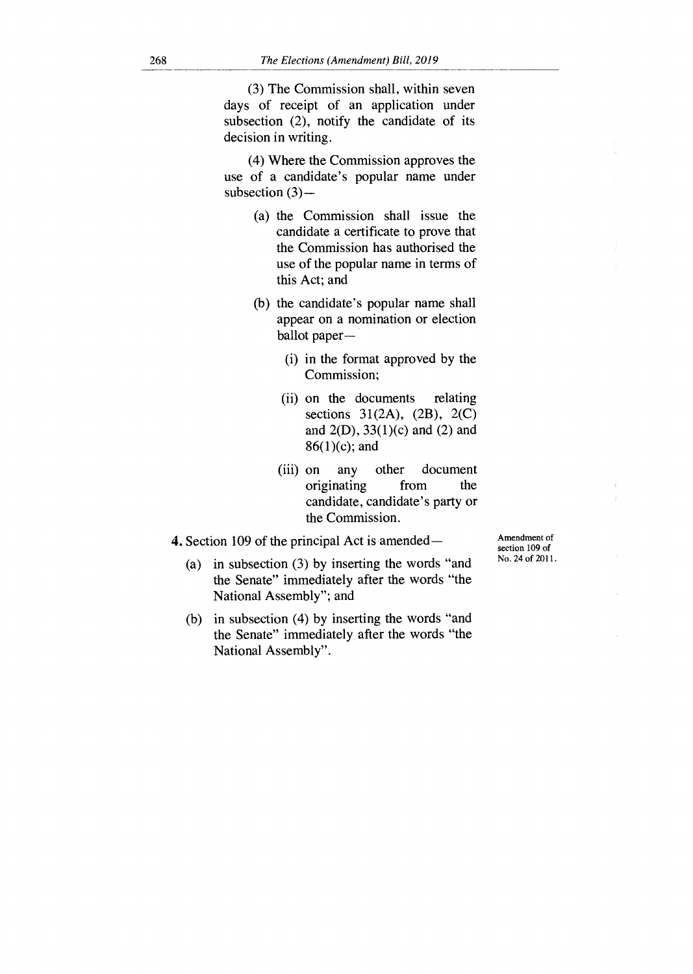(3) The Commission shall, within seven days of receipt of an application under subsection (2), notify the candidate of its decision in writing.

(4) Where the Commission approves the use of a candidate's popular name under subsection  $(3)$ —

- (a) the Commission shall issue the candidate a certificate to prove that the Commission has authorised the use of the popular name in terms of this Act; and
- (b) the candidate's popular name shall appear on a nomination or election ballot paper—
	- (i) in the format approved by the Commission;
	- (ii) on the documents relating sections  $31(2A)$ ,  $(2B)$ ,  $2(C)$ and 2(D), 33(1)(c) and (2) and 86(1)(c); and
	- (iii) on any other document originating from the candidate, candidate's party or the Commission.

#### **4.** Section 109 of the principal Act is amended—

- (a) in subsection (3) by inserting the words "and the Senate" immediately after the words "the National Assembly"; and
- (b) in subsection (4) by inserting the words "and the Senate" immediately after the words "the National Assembly".

Amendment of section 109 of No. 24 of 2011.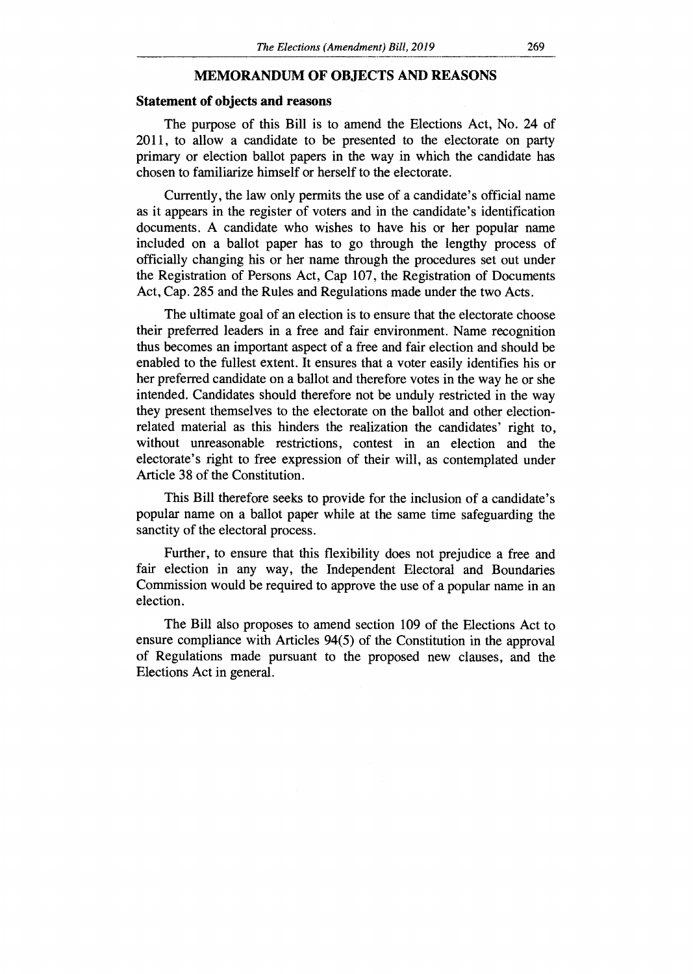#### **MEMORANDUM OF OBJECTS AND REASONS**

#### **Statement of objects and reasons**

The purpose of this Bill is to amend the Elections Act, No. 24 of 2011, to allow a candidate to be presented to the electorate on party primary or election ballot papers in the way in which the candidate has chosen to familiarize himself or herself to the electorate.

Currently, the law only permits the use of a candidate's official name as it appears in the register of voters and in the candidate's identification documents. A candidate who wishes to have his or her popular name included on a ballot paper has to go through the lengthy process of officially changing his or her name through the procedures set out under the Registration of Persons Act, Cap 107, the Registration of Documents Act, Cap. 285 and the Rules and Regulations made under the two Acts.

The ultimate goal of an election is to ensure that the electorate choose their preferred leaders in a free and fair environment. Name recognition thus becomes an important aspect of a free and fair election and should be enabled to the fullest extent. It ensures that a voter easily identifies his or her preferred candidate on a ballot and therefore votes in the way he or she intended. Candidates should therefore not be unduly restricted in the way they present themselves to the electorate on the ballot and other electionrelated material as this hinders the realization the candidates' right to, without unreasonable restrictions, contest in an election and the electorate's right to free expression of their will, as contemplated under Article 38 of the Constitution.

This Bill therefore seeks to provide for the inclusion of a candidate's popular name on a ballot paper while at the same time safeguarding the sanctity of the electoral process.

Further, to ensure that this flexibility does not prejudice a free and fair election in any way, the Independent Electoral and Boundaries Commission would be required to approve the use of a popular name in an election.

The Bill also proposes to amend section 109 of the Elections Act to ensure compliance with Articles 94(5) of the Constitution in the approval of Regulations made pursuant to the proposed new clauses, and the Elections Act in general.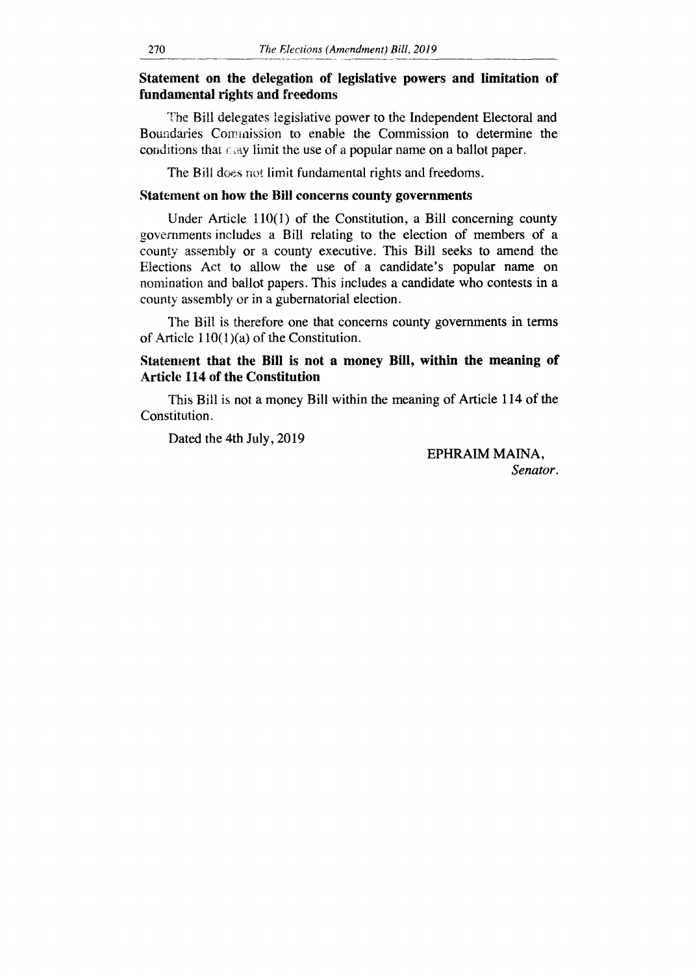# **Statement on the delegation of legislative powers and limitation of fundamental rights and freedoms**

The Bill delegates legislative power to the Independent Electoral and Boundaries Commission to enable the Commission to determine the conditions that  $\epsilon$  ay limit the use of a popular name on a ballot paper.

The Bill does not limit fundamental rights and freedoms.

# **Statement on how the Bill concerns county governments**

Under Article 110(1) of the Constitution, a Bill concerning county governments includes a Bill relating to the election of members of a county assembly or a county executive. This Bill seeks to amend the Elections Act to allow the use of a candidate's popular name on nomination and ballot papers. This includes a candidate who contests in a county assembly or in a gubernatorial election.

The Bill is therefore one that concerns county governments in terms of Article 110(1)(a) of the Constitution.

# **Statement that the Bill is not a money Bill, within the meaning of Article 114 of the Constitution**

This Bill is not a money Bill within the meaning of Article 114 of the Constitution.

Dated the 4th July, 2019

# **EPHRAIM MAINA,**  *Senator.*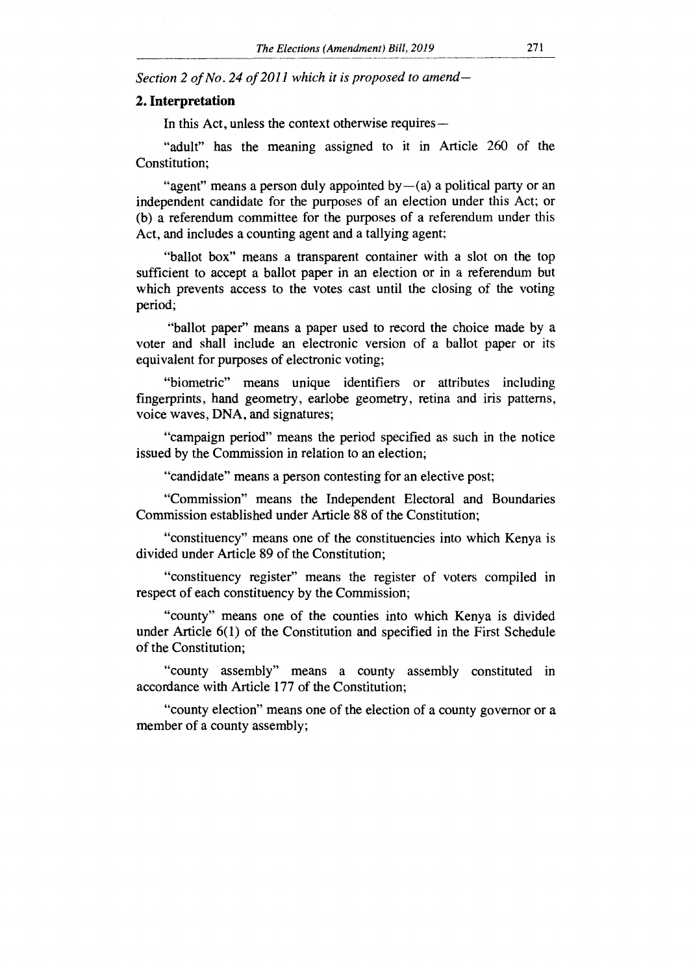*Section 2 of No. 24 of 2011 which it is proposed to amend-*

#### **2. Interpretation**

In this Act, unless the context otherwise requires —

"adult" has the meaning assigned to it in Article 260 of the Constitution;

"agent" means a person duly appointed by  $-(a)$  a political party or an independent candidate for the purposes of an election under this Act; or (b) a referendum committee for the purposes of a referendum under this Act, and includes a counting agent and a tallying agent;

"ballot box" means a transparent container with a slot on the top sufficient to accept a ballot paper in an election or in a referendum but which prevents access to the votes cast until the closing of the voting period;

"ballot paper" means a paper used to record the choice made by a voter and shall include an electronic version of a ballot paper or its equivalent for purposes of electronic voting;

"biometric" means unique identifiers or attributes including fingerprints, hand geometry, earlobe geometry, retina and iris patterns, voice waves, DNA, and signatures;

"campaign period" means the period specified as such in the notice issued by the Commission in relation to an election;

"candidate" means a person contesting for an elective post;

"Commission" means the Independent Electoral and Boundaries Commission established under Article 88 of the Constitution;

"constituency" means one of the constituencies into which Kenya is divided under Article 89 of the Constitution;

"constituency register" means the register of voters compiled in respect of each constituency by the Commission;

"county" means one of the counties into which Kenya is divided under Article 6(1) of the Constitution and specified in the First Schedule of the Constitution;

"county assembly" means a county assembly constituted in accordance with Article 177 of the Constitution;

"county election" means one of the election of a county governor or a member of a county assembly;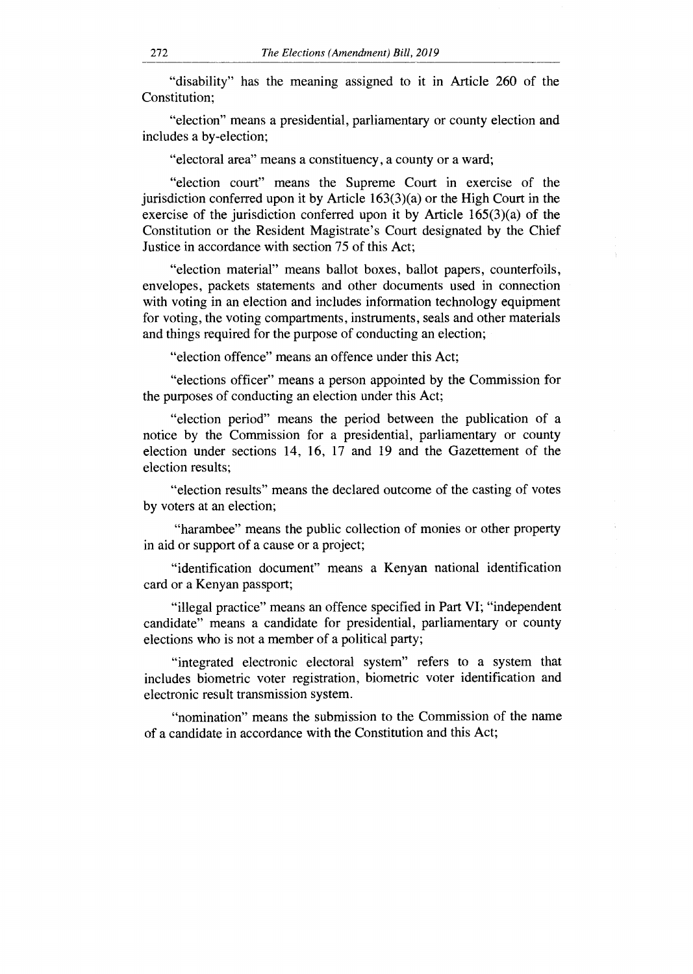"disability" has the meaning assigned to it in Article 260 of the Constitution;

"election" means a presidential, parliamentary or county election and includes a by-election;

"electoral area" means a constituency, a county or a ward;

"election court" means the Supreme Court in exercise of the jurisdiction conferred upon it by Article 163(3)(a) or the High Court in the exercise of the jurisdiction conferred upon it by Article 165(3)(a) of the Constitution or the Resident Magistrate's Court designated by the Chief Justice in accordance with section 75 of this Act;

"election material" means ballot boxes, ballot papers, counterfoils, envelopes, packets statements and other documents used in connection with voting in an election and includes information technology equipment for voting, the voting compartments, instruments, seals and other materials and things required for the purpose of conducting an election;

"election offence" means an offence under this Act;

"elections officer" means a person appointed by the Commission for the purposes of conducting an election under this Act;

"election period" means the period between the publication of a notice by the Commission for a presidential, parliamentary or county election under sections 14, 16, 17 and 19 and the Gazettement of the election results;

"election results" means the declared outcome of the casting of votes by voters at an election;

"harambee" means the public collection of monies or other property in aid or support of a cause or a project;

"identification document" means a Kenyan national identification card or a Kenyan passport;

"illegal practice" means an offence specified in Part VI; "independent candidate" means a candidate for presidential, parliamentary or county elections who is not a member of a political party;

"integrated electronic electoral system" refers to a system that includes biometric voter registration, biometric voter identification and electronic result transmission system.

"nomination" means the submission to the Commission of the name of a candidate in accordance with the Constitution and this Act;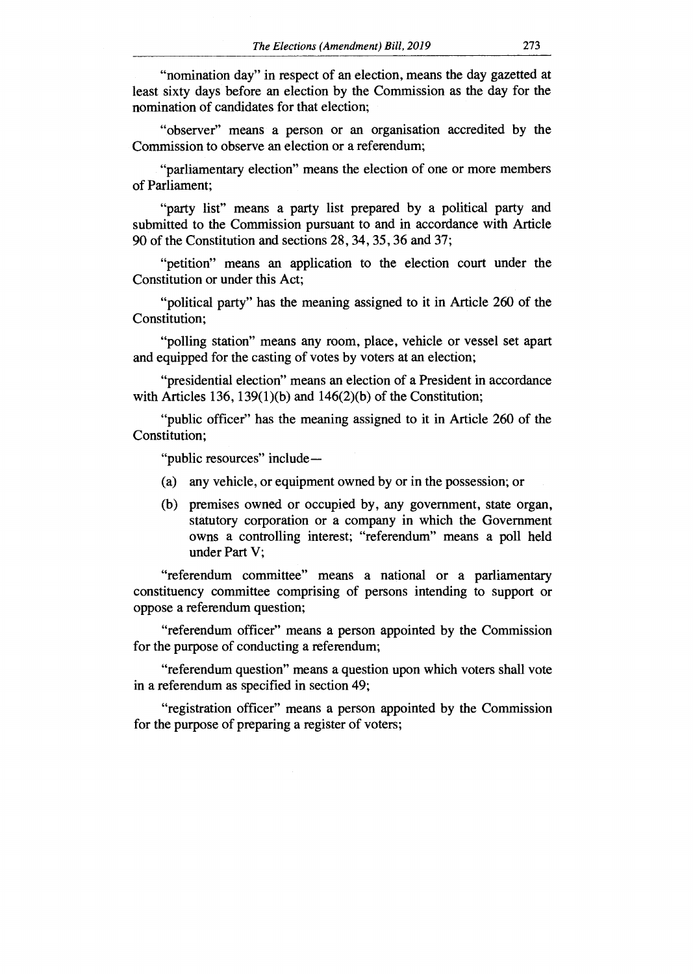"nomination day" in respect of an election, means the day gazetted at least sixty days before an election by the Commission as the day for the nomination of candidates for that election;

"observer" means a person or an organisation accredited by the Commission to observe an election or a referendum;

"parliamentary election" means the election of one or more members of Parliament;

"party list" means a party list prepared by a political party and submitted to the Commission pursuant to and in accordance with Article 90 of the Constitution and sections 28,34,35,36 and 37;

"petition" means an application to the election court under the Constitution or under this Act;

"political party" has the meaning assigned to it in Article 260 of the Constitution;

"polling station" means any room, place, vehicle or vessel set apart and equipped for the casting of votes by voters at an election;

"presidential election" means an election of a President in accordance with Articles 136, 139(1)(b) and  $146(2)(b)$  of the Constitution;

"public officer" has the meaning assigned to it in Article 260 of the Constitution;

"public resources" include —

- (a) any vehicle, or equipment owned by or in the possession; or
- (b) premises owned or occupied by, any government, state organ, statutory corporation or a company in which the Government owns a controlling interest; "referendum" means a poll held under Part V;

"referendum committee" means a national or a parliamentary constituency committee comprising of persons intending to support or oppose a referendum question;

"referendum officer" means a person appointed by the Commission for the purpose of conducting a referendum;

"referendum question" means a question upon which voters shall vote in a referendum as specified in section 49;

"registration officer" means a person appointed by the Commission for the purpose of preparing a register of voters;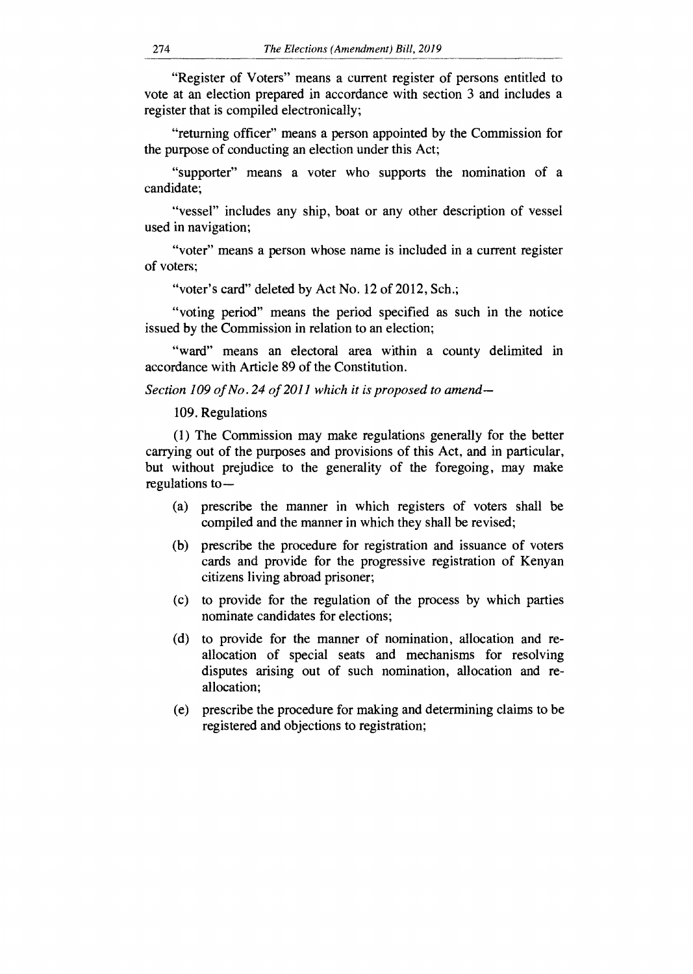"Register of Voters" means a current register of persons entitled to vote at an election prepared in accordance with section 3 and includes a register that is compiled electronically;

"returning officer" means a person appointed by the Commission for the purpose of conducting an election under this Act;

"supporter" means a voter who supports the nomination of a candidate;

"vessel" includes any ship, boat or any other description of vessel used in navigation;

"voter" means a person whose name is included in a current register of voters;

"voter's card" deleted by Act No. 12 of 2012, Sch.;

"voting period" means the period specified as such in the notice issued by the Commission in relation to an election;

"ward" means an electoral area within a county delimited in accordance with Article 89 of the Constitution.

*Section 109 of No. 24 of 2011 which it is proposed to amend-*

109. Regulations

(1) The Commission may make regulations generally for the better carrying out of the purposes and provisions of this Act, and in particular, but without prejudice to the generality of the foregoing, may make regulations to—

- (a) prescribe the manner in which registers of voters shall be compiled and the manner in which they shall be revised;
- (b) prescribe the procedure for registration and issuance of voters cards and provide for the progressive registration of Kenyan citizens living abroad prisoner;
- (c) to provide for the regulation of the process by which parties nominate candidates for elections;
- (d) to provide for the manner of nomination, allocation and reallocation of special seats and mechanisms for resolving disputes arising out of such nomination, allocation and reallocation;
- (e) prescribe the procedure for making and determining claims to be registered and objections to registration;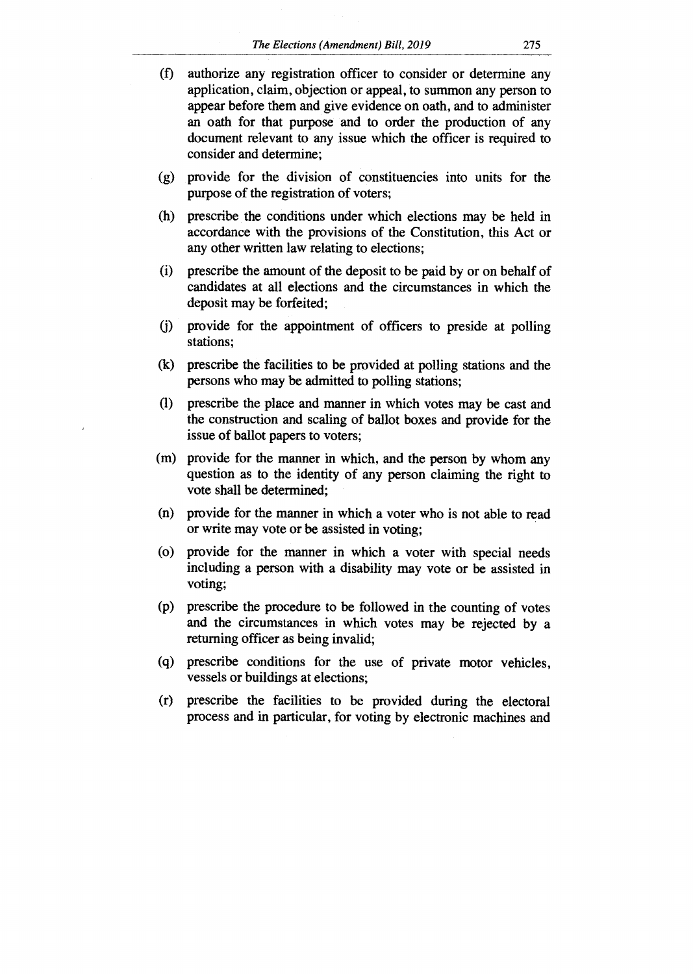- (f) authorize any registration officer to consider or determine any application, claim, objection or appeal, to summon any person to appear before them and give evidence on oath, and to administer an oath for that purpose and to order the production of any document relevant to any issue which the officer is required to consider and determine;
- (g) provide for the division of constituencies into units for the purpose of the registration of voters;
- (h) prescribe the conditions under which elections may be held in accordance with the provisions of the Constitution, this Act or any other written law relating to elections;
- (i) prescribe the amount of the deposit to be paid by or on behalf of candidates at all elections and the circumstances in which the deposit may be forfeited;
- (j) provide for the appointment of officers to preside at polling stations;
- (k) prescribe the facilities to be provided at polling stations and the persons who may be admitted to polling stations;
- (1) prescribe the place and manner in which votes may be cast and the construction and scaling of ballot boxes and provide for the issue of ballot papers to voters;
- (m) provide for the manner in which, and the person by whom any question as to the identity of any person claiming the right to vote shall be determined;
- (n) provide for the manner in which a voter who is not able to read or write may vote or be assisted in voting;
- (o) provide for the manner in which a voter with special needs including a person with a disability may vote or be assisted in voting;
- (p) prescribe the procedure to be followed in the counting of votes and the circumstances in which votes may be rejected by a returning officer as being invalid;
- (q) prescribe conditions for the use of private motor vehicles, vessels or buildings at elections;
- (r) prescribe the facilities to be provided during the electoral process and in particular, for voting by electronic machines and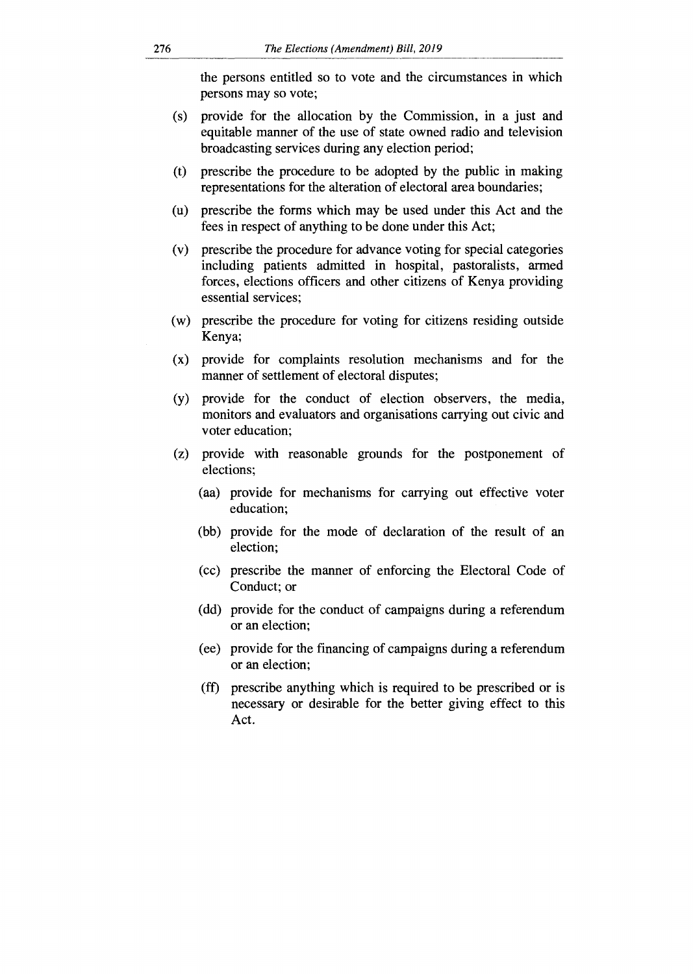the persons entitled so to vote and the circumstances in which persons may so vote;

- (s) provide for the allocation by the Commission, in a just and equitable manner of the use of state owned radio and television broadcasting services during any election period;
- (t) prescribe the procedure to be adopted by the public in making representations for the alteration of electoral area boundaries;
- (u) prescribe the forms which may be used under this Act and the fees in respect of anything to be done under this Act;
- (v) prescribe the procedure for advance voting for special categories including patients admitted in hospital, pastoralists, armed forces, elections officers and other citizens of Kenya providing essential services;
- (w) prescribe the procedure for voting for citizens residing outside Kenya;
- (x) provide for complaints resolution mechanisms and for the manner of settlement of electoral disputes;
- (y) provide for the conduct of election observers, the media, monitors and evaluators and organisations carrying out civic and voter education;
- (z) provide with reasonable grounds for the postponement of elections;
	- (aa) provide for mechanisms for carrying out effective voter education;
	- (bb) provide for the mode of declaration of the result of an election;
	- (cc) prescribe the manner of enforcing the Electoral Code of Conduct; or
	- (dd) provide for the conduct of campaigns during a referendum or an election;
	- (ee) provide for the financing of campaigns during a referendum or an election;
	- (ff) prescribe anything which is required to be prescribed or is necessary or desirable for the better giving effect to this Act.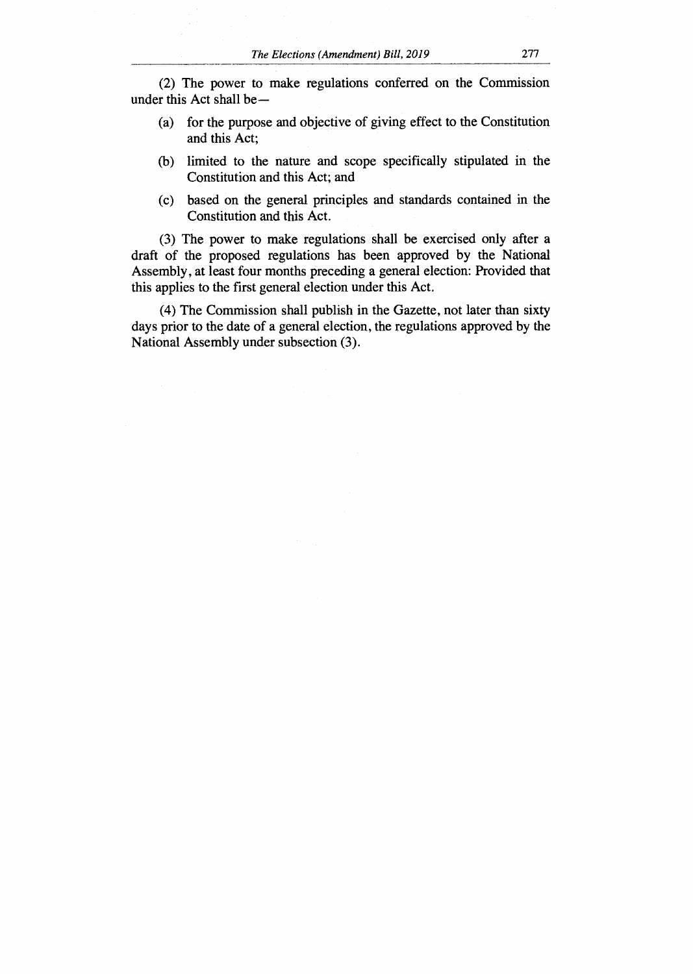(2) The power to make regulations conferred on the Commission under this Act shall be —

- (a) for the purpose and objective of giving effect to the Constitution and this Act;
- (b) limited to the nature and scope specifically stipulated in the Constitution and this Act; and
- (c) based on the general principles and standards contained in the Constitution and this Act.

(3) The power to make regulations shall be exercised only after a draft of the proposed regulations has been approved by the National Assembly, at least four months preceding a general election: Provided that this applies to the first general election under this Act.

(4) The Commission shall publish in the Gazette, not later than sixty days prior to the date of a general election, the regulations approved by the National Assembly under subsection (3).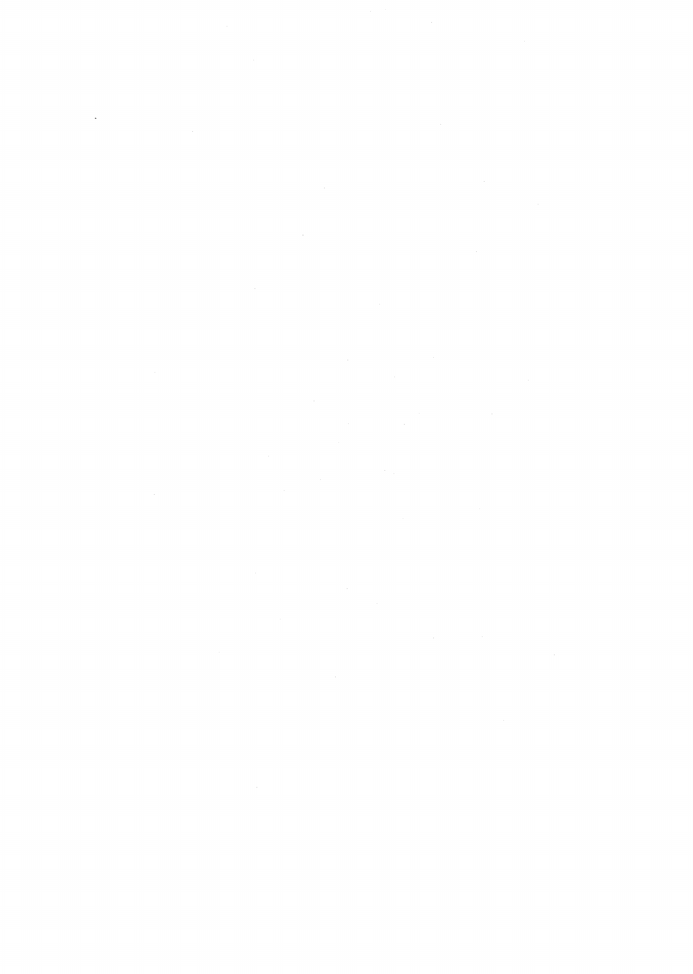$\label{eq:2.1} \mathcal{L}(\mathcal{L}^{\text{max}}_{\text{max}}(\mathcal{L}^{\text{max}}_{\text{max}})) \leq \frac{1}{2} \sum_{i=1}^{2} \frac{1}{\left(\sum_{i=1}^{n} \mathcal{L}^{\text{max}}_{\text{max}}\right)^2} \left(\sum_{i=1}^{n} \mathcal{L}^{\text{max}}_{\text{max}}\right)^2.$